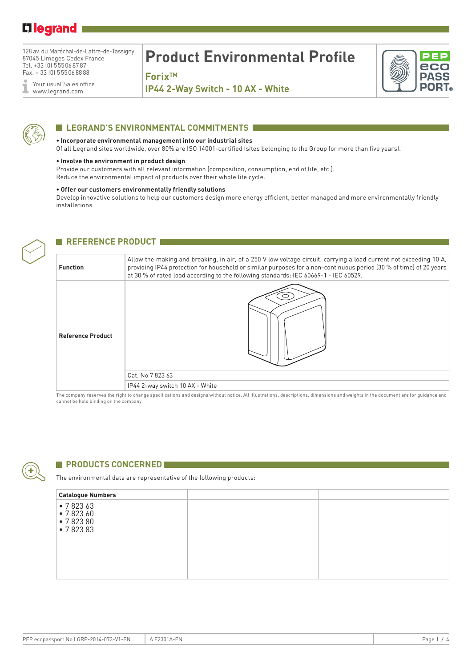## L<sub>legrand</sub>

128 av. du Maréchal-de-Lattre-de-Tassigny 87045 Limoges Cedex France Tel. +33 (0) 555068787 Fax. + 33 (0) 555068888

Your usual Sales office Ĩ www.legrand.com

# **Product Environmental Profile**

**ForixTM** 

**IP44 2-Way Switch - 10 AX - White**





### **LEGRAND'S ENVIRONMENTAL COMMITMENTS**

#### **• Incorporate environmental management into our industrial sites**

Of all Legrand sites worldwide, over 80% are ISO 14001-certified (sites belonging to the Group for more than five years).

#### **• Involve the environment in product design**

Provide our customers with all relevant information (composition, consumption, end of life, etc.). Reduce the environmental impact of products over their whole life cycle.

#### **• Offer our customers environmentally friendly solutions**

Develop innovative solutions to help our customers design more energy efficient, better managed and more environmentally friendly installations



### **REFERENCE PRODUCT**

| <b>Function</b><br>at 30 % of rated load according to the following standards: IEC 60669-1 - IEC 60529.<br><b>Reference Product</b><br>Cat. No 7 823 63 |                                                                                                                                                                                                                                          |
|---------------------------------------------------------------------------------------------------------------------------------------------------------|------------------------------------------------------------------------------------------------------------------------------------------------------------------------------------------------------------------------------------------|
|                                                                                                                                                         | Allow the making and breaking, in air, of a 250 V low voltage circuit, carrying a load current not exceeding 10 A,<br>providing IP44 protection for household or similar purposes for a non-continuous period (30 % of time) of 20 years |
|                                                                                                                                                         | IP44 2-way switch 10 AX - White                                                                                                                                                                                                          |

The company reserves the right to change specifications and designs without notice. All illustrations, descriptions, dimensions and weights in the document are for guidance and cannot be held binding on the company.



#### **E** PRODUCTS CONCERNED

The environmental data are representative of the following products:

| <b>Catalogue Numbers</b>                 |  |
|------------------------------------------|--|
| •782363<br>•782360<br>•782380<br>•782383 |  |
|                                          |  |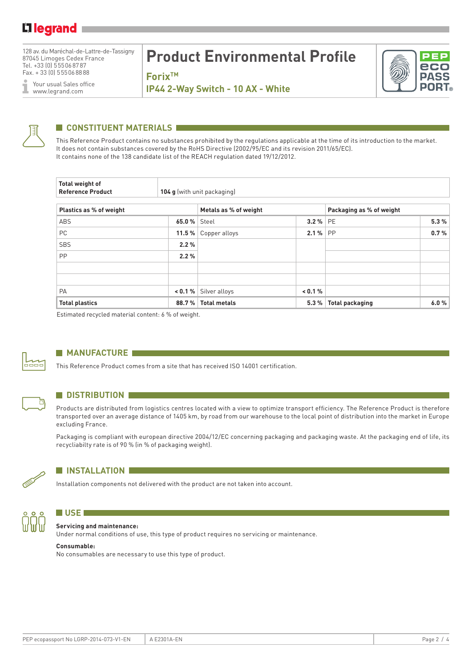128 av. du Maréchal-de-Lattre-de-Tassigny 87045 Limoges Cedex France Tel. +33 (0) 555068787 Fax. + 33 (0) 555068888

Your usual Sales office I www.legrand.com

# **Product Environmental Profile**

**ForixTM** 



**IP44 2-Way Switch - 10 AX - White**



## **CONSTITUENT MATERIALS**

This Reference Product contains no substances prohibited by the regulations applicable at the time of its introduction to the market. It does not contain substances covered by the RoHS Directive (2002/95/EC and its revision 2011/65/EC). It contains none of the 138 candidate list of the REACH regulation dated 19/12/2012.

| Total weight of<br><b>Reference Product</b><br>104 g (with unit packaging) |                |                       |           |                          |      |  |  |  |
|----------------------------------------------------------------------------|----------------|-----------------------|-----------|--------------------------|------|--|--|--|
| Plastics as % of weight                                                    |                | Metals as % of weight |           | Packaging as % of weight |      |  |  |  |
| ABS                                                                        | 65.0 %   Steel |                       | $3.2%$ PE |                          | 5.3% |  |  |  |
| <b>PC</b>                                                                  | 11.5%          | Copper alloys         | 2.1%      | <b>PP</b>                | 0.7% |  |  |  |
| <b>SBS</b>                                                                 | 2.2%           |                       |           |                          |      |  |  |  |
| <b>PP</b>                                                                  | 2.2%           |                       |           |                          |      |  |  |  |
|                                                                            |                |                       |           |                          |      |  |  |  |
| PA                                                                         | $< 0.1 \%$     | Silver alloys         | < 0.1 %   |                          |      |  |  |  |
| <b>Total plastics</b>                                                      | 88.7%          | <b>Total metals</b>   | 5.3%      | <b>Total packaging</b>   | 6.0% |  |  |  |

Estimated recycled material content: 6 % of weight.



Б

#### **MANUFACTURE**

This Reference Product comes from a site that has received ISO 14001 certification.

#### **N** DISTRIBUTION

Products are distributed from logistics centres located with a view to optimize transport efficiency. The Reference Product is therefore transported over an average distance of 1405 km, by road from our warehouse to the local point of distribution into the market in Europe excluding France.

Packaging is compliant with european directive 2004/12/EC concerning packaging and packaging waste. At the packaging end of life, its recycliabilty rate is of 90 % (in % of packaging weight).



#### **N** INSTALLATION

Installation components not delivered with the product are not taken into account.



#### **N** USE *DERIVATE* **Servicing and maintenance:**

Under normal conditions of use, this type of product requires no servicing or maintenance.

#### **Consumable:**

No consumables are necessary to use this type of product.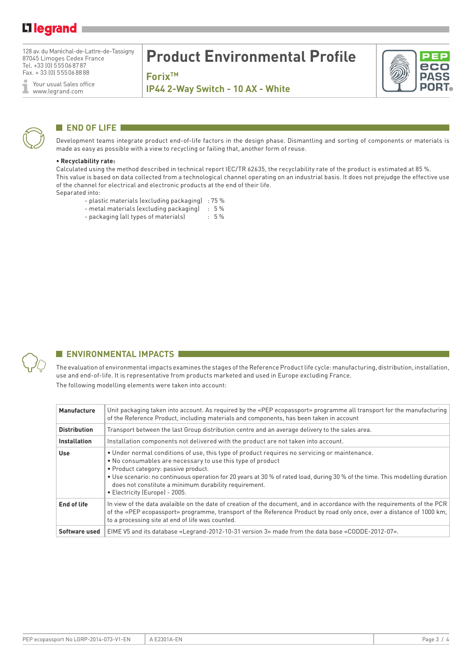## L<sub>legrand</sub>

128 av. du Maréchal-de-Lattre-de-Tassigny 87045 Limoges Cedex France Tel. +33 (0) 555068787 Fax. + 33 (0) 555068888

Your usual Sales office Ĩ www.legrand.com

## **Product Environmental Profile**

**ForixTM** 

**IP44 2-Way Switch - 10 AX - White**



### **END OF LIFE**

Development teams integrate product end-of-life factors in the design phase. Dismantling and sorting of components or materials is made as easy as possible with a view to recycling or failing that, another form of reuse.

#### **• Recyclability rate:**

Calculated using the method described in technical report IEC/TR 62635, the recyclability rate of the product is estimated at 85 %. This value is based on data collected from a technological channel operating on an industrial basis. It does not prejudge the effective use of the channel for electrical and electronic products at the end of their life. Separated into:

- 
- plastic materials (excluding packaging) : 75 % - metal materials (excluding packaging)
- packaging (all types of materials) : 5 %



### **ENVIRONMENTAL IMPACTS**

The evaluation of environmental impacts examines the stages of the Reference Product life cycle: manufacturing, distribution, installation, use and end-of-life. It is representative from products marketed and used in Europe excluding France. The following modelling elements were taken into account:

| Manufacture         | Unit packaging taken into account. As required by the «PEP ecopassport» programme all transport for the manufacturing<br>of the Reference Product, including materials and components, has been taken in account                                                                                                                                                                                                              |
|---------------------|-------------------------------------------------------------------------------------------------------------------------------------------------------------------------------------------------------------------------------------------------------------------------------------------------------------------------------------------------------------------------------------------------------------------------------|
| <b>Distribution</b> | Transport between the last Group distribution centre and an average delivery to the sales area.                                                                                                                                                                                                                                                                                                                               |
| <b>Installation</b> | Installation components not delivered with the product are not taken into account.                                                                                                                                                                                                                                                                                                                                            |
| Use                 | • Under normal conditions of use, this type of product requires no servicing or maintenance.<br>• No consumables are necessary to use this type of product<br>• Product category: passive product.<br>• Use scenario: no continuous operation for 20 years at 30 % of rated load, during 30 % of the time. This modelling duration<br>does not constitute a minimum durability requirement.<br>• Electricity (Europe) - 2005. |
| End of life         | In view of the data avalaible on the date of creation of the document, and in accordance with the requirements of the PCR<br>of the «PEP ecopassport» programme, transport of the Reference Product by road only once, over a distance of 1000 km,<br>to a processing site at end of life was counted.                                                                                                                        |
| Software used       | EIME V5 and its database «Legrand-2012-10-31 version 3» made from the data base «CODDE-2012-07».                                                                                                                                                                                                                                                                                                                              |

ecc **DASS** 

**PORT**